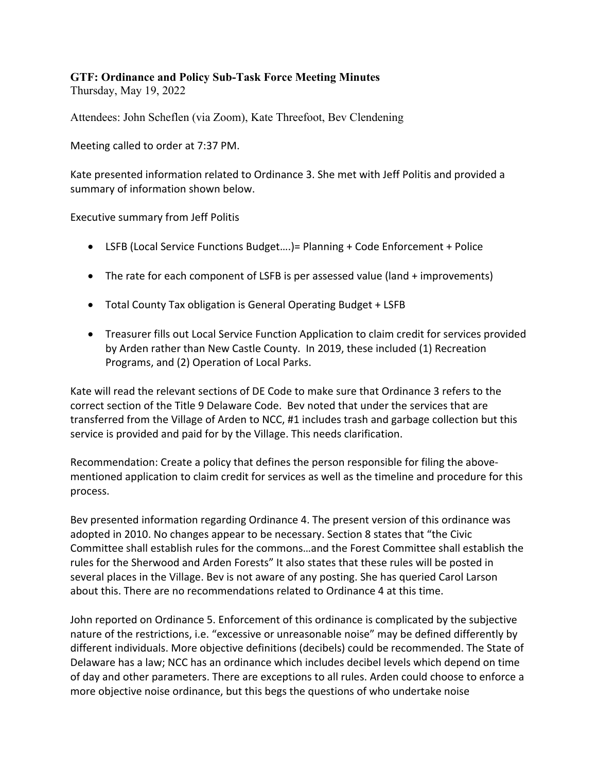## **GTF: Ordinance and Policy Sub-Task Force Meeting Minutes**

Thursday, May 19, 2022

Attendees: John Scheflen (via Zoom), Kate Threefoot, Bev Clendening

Meeting called to order at 7:37 PM.

Kate presented information related to Ordinance 3. She met with Jeff Politis and provided a summary of information shown below.

Executive summary from Jeff Politis

- LSFB (Local Service Functions Budget….)= Planning + Code Enforcement + Police
- The rate for each component of LSFB is per assessed value (land + improvements)
- Total County Tax obligation is General Operating Budget + LSFB
- Treasurer fills out Local Service Function Application to claim credit for services provided by Arden rather than New Castle County. In 2019, these included (1) Recreation Programs, and (2) Operation of Local Parks.

Kate will read the relevant sections of DE Code to make sure that Ordinance 3 refers to the correct section of the Title 9 Delaware Code. Bev noted that under the services that are transferred from the Village of Arden to NCC, #1 includes trash and garbage collection but this service is provided and paid for by the Village. This needs clarification.

Recommendation: Create a policy that defines the person responsible for filing the abovementioned application to claim credit for services as well as the timeline and procedure for this process.

Bev presented information regarding Ordinance 4. The present version of this ordinance was adopted in 2010. No changes appear to be necessary. Section 8 states that "the Civic Committee shall establish rules for the commons…and the Forest Committee shall establish the rules for the Sherwood and Arden Forests" It also states that these rules will be posted in several places in the Village. Bev is not aware of any posting. She has queried Carol Larson about this. There are no recommendations related to Ordinance 4 at this time.

John reported on Ordinance 5. Enforcement of this ordinance is complicated by the subjective nature of the restrictions, i.e. "excessive or unreasonable noise" may be defined differently by different individuals. More objective definitions (decibels) could be recommended. The State of Delaware has a law; NCC has an ordinance which includes decibel levels which depend on time of day and other parameters. There are exceptions to all rules. Arden could choose to enforce a more objective noise ordinance, but this begs the questions of who undertake noise